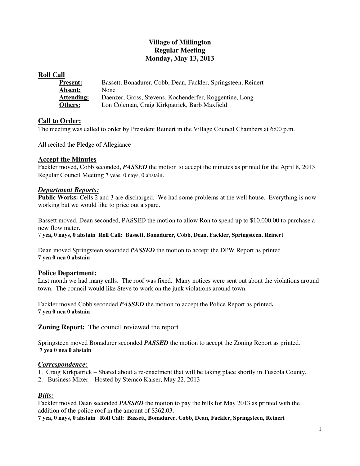# **Village of Millington Regular Meeting Monday, May 13, 2013**

### **Roll Call**

| <b>Present:</b>   | Bassett, Bonadurer, Cobb, Dean, Fackler, Springsteen, Reinert |
|-------------------|---------------------------------------------------------------|
| Absent:           | None                                                          |
| <b>Attending:</b> | Daenzer, Gross, Stevens, Kochenderfer, Roggentine, Long       |
| Others:           | Lon Coleman, Craig Kirkpatrick, Barb Maxfield                 |

# **Call to Order:**

The meeting was called to order by President Reinert in the Village Council Chambers at 6:00 p.m.

All recited the Pledge of Allegiance

# **Accept the Minutes**

Fackler moved, Cobb seconded, *PASSED* the motion to accept the minutes as printed for the April 8, 2013 Regular Council Meeting 7 yeas, 0 nays, 0 abstain.

# *Department Reports:*

**Public Works:** Cells 2 and 3 are discharged. We had some problems at the well house. Everything is now working but we would like to price out a spare.

Bassett moved, Dean seconded, PASSED the motion to allow Ron to spend up to \$10,000.00 to purchase a new flow meter.

7 **yea, 0 nays, 0 abstain Roll Call: Bassett, Bonadurer, Cobb, Dean, Fackler, Springsteen, Reinert**

Dean moved Springsteen seconded *PASSED* the motion to accept the DPW Report as printed. **7 yea 0 nea 0 abstain** 

### **Police Department:**

Last month we had many calls. The roof was fixed. Many notices were sent out about the violations around town. The council would like Steve to work on the junk violations around town.

Fackler moved Cobb seconded *PASSED* the motion to accept the Police Report as printed**. 7 yea 0 nea 0 abstain** 

**Zoning Report:** The council reviewed the report.

Springsteen moved Bonadurer seconded *PASSED* the motion to accept the Zoning Report as printed. **7 yea 0 nea 0 abstain** 

### *Correspondence:*

- 1. Craig Kirkpatrick Shared about a re-enactment that will be taking place shortly in Tuscola County.
- 2. Business Mixer Hosted by Stemco Kaiser, May 22, 2013

# *Bills:*

Fackler moved Dean seconded *PASSED* the motion to pay the bills for May 2013 as printed with the addition of the police roof in the amount of \$362.03.

**7 yea, 0 nays, 0 abstain Roll Call: Bassett, Bonadurer, Cobb, Dean, Fackler, Springsteen, Reinert**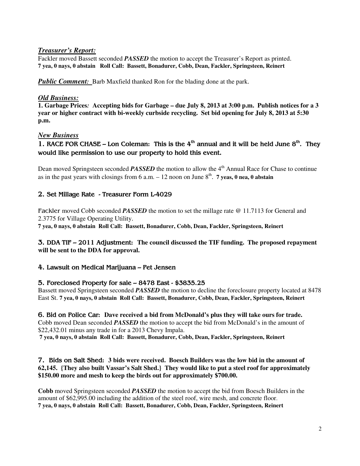# *Treasurer's Report:*

Fackler moved Bassett seconded *PASSED* the motion to accept the Treasurer's Report as printed. **7 yea, 0 nays, 0 abstain Roll Call: Bassett, Bonadurer, Cobb, Dean, Fackler, Springsteen, Reinert** 

*Public Comment:* Barb Maxfield thanked Ron for the blading done at the park.

### *Old Business:*

**1. Garbage Prices***:* **Accepting bids for Garbage – due July 8, 2013 at 3:00 p.m. Publish notices for a 3 year or higher contract with bi-weekly curbside recycling. Set bid opening for July 8, 2013 at 5:30 p.m.** 

### *New Business*

1. RACE FOR CHASE – Lon Coleman: This is the  $4<sup>th</sup>$  annual and it will be held June  $8<sup>th</sup>$ . They would like permission to use our property to hold this event.

Dean moved Springsteen seconded **PASSED** the motion to allow the 4<sup>th</sup> Annual Race for Chase to continue as in the past years with closings from  $6$  a.m.  $-12$  noon on June  $8<sup>th</sup>$ . **7 yeas, 0 nea, 0 abstain** 

### 2. Set Millage Rate - Treasurer Form L-4029

Fackler moved Cobb seconded *PASSED* the motion to set the millage rate @ 11.7113 for General and 2.3775 for Village Operating Utility.

**7 yea, 0 nays, 0 abstain Roll Call: Bassett, Bonadurer, Cobb, Dean, Fackler, Springsteen, Reinert**

### 3. DDA TIF – 2011 Adjustment: **The council discussed the TIF funding. The proposed repayment will be sent to the DDA for approval.**

4. Lawsuit on Medical Marijuana – Pet Jensen

### 5. Foreclosed Property for sale – 8478 East - \$3835.25

Bassett moved Springsteen seconded *PASSED* the motion to decline the foreclosure property located at 8478 East St. **7 yea, 0 nays, 0 abstain Roll Call: Bassett, Bonadurer, Cobb, Dean, Fackler, Springsteen, Reinert** 

6. Bid on Police Car: **Dave received a bid from McDonald's plus they will take ours for trade.**  Cobb moved Dean seconded *PASSED* the motion to accept the bid from McDonald's in the amount of \$22,432.01 minus any trade in for a 2013 Chevy Impala. **7 yea, 0 nays, 0 abstain Roll Call: Bassett, Bonadurer, Cobb, Dean, Fackler, Springsteen, Reinert** 

7. Bids on Salt Shed: **3 bids were received. Boesch Builders was the low bid in the amount of 62,145. {They also built Vassar's Salt Shed.} They would like to put a steel roof for approximately \$150.00 more and mesh to keep the birds out for approximately \$700.00.**

**Cobb** moved Springsteen seconded *PASSED* the motion to accept the bid from Boesch Builders in the amount of \$62,995.00 including the addition of the steel roof, wire mesh, and concrete floor. **7 yea, 0 nays, 0 abstain Roll Call: Bassett, Bonadurer, Cobb, Dean, Fackler, Springsteen, Reinert**